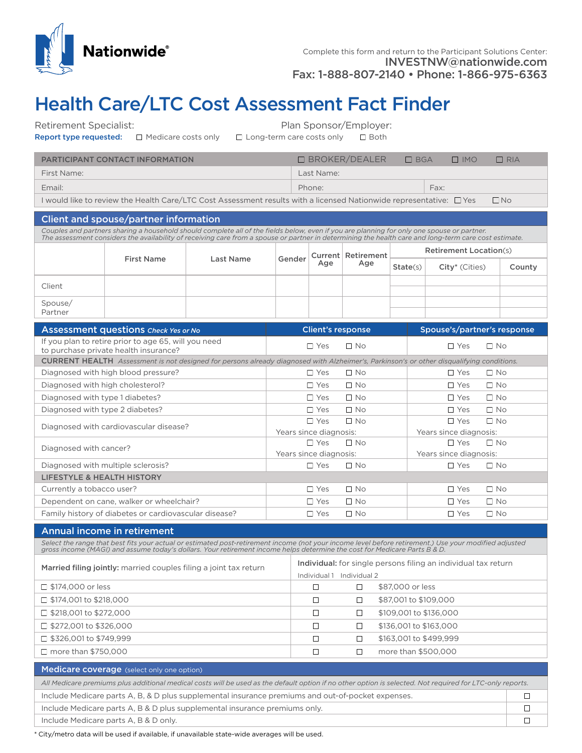

## Health Care/LTC Cost Assessment Fact Finder

Retirement Specialist: example of the Plan Sponsor/Employer:

|  | Report type requested: | $\Box$ Medicare costs or |  |
|--|------------------------|--------------------------|--|
|  |                        |                          |  |

|     |                                  | <u>Fight OponSor, Employer</u> |                |
|-----|----------------------------------|--------------------------------|----------------|
| nly | $\Box$ Long-term care costs only |                                | $\square$ Both |

| <b>PARTICIPANT CONTACT INFORMATION</b> | $\Box$ BROKER/DEALER | $\Box$ BGA |      | $\Box$ IMO | RIA |
|----------------------------------------|----------------------|------------|------|------------|-----|
| First Name:                            | Last Name:           |            |      |            |     |
| Email:                                 | Phone:               |            | Fax: |            |     |

I would like to review the Health Care/LTC Cost Assessment results with a licensed Nationwide representative:  $\Box$  Yes  $\Box$  No

## Client and spouse/partner information

*Couples and partners sharing a household should complete all of the fields below, even if you are planning for only one spouse or partner. The assessment considers the availability of receiving care from a spouse or partner in determining the health care and long-term care cost estimate.*

|                    | <b>First Name</b> | Last Name | Gender | Current Retirement<br>Age | <b>Retirement Location(s)</b> |                            |        |
|--------------------|-------------------|-----------|--------|---------------------------|-------------------------------|----------------------------|--------|
|                    |                   |           |        |                           | State(s)                      | City <sup>*</sup> (Cities) | County |
| Client             |                   |           |        |                           |                               |                            |        |
| Spouse/<br>Partner |                   |           |        |                           |                               |                            |        |

| Assessment questions Check Yes or No                                                                                                            | <b>Client's response</b>   | Spouse's/partner's response |  |  |  |  |  |
|-------------------------------------------------------------------------------------------------------------------------------------------------|----------------------------|-----------------------------|--|--|--|--|--|
| If you plan to retire prior to age 65, will you need<br>to purchase private health insurance?                                                   | $\Box$ No<br>∩ Yes         | $\Box$ No<br>$\Box$ Yes     |  |  |  |  |  |
| <b>CURRENT HEALTH</b> Assessment is not designed for persons already diagnosed with Alzheimer's, Parkinson's or other disqualifying conditions. |                            |                             |  |  |  |  |  |
| Diagnosed with high blood pressure?                                                                                                             | $\Box$ Yes<br>$\Box$ No    | $\Box$ Yes<br>$\Box$ No     |  |  |  |  |  |
| Diagnosed with high cholesterol?                                                                                                                | $\Box$ No<br>$\Box$ Yes    | $\Box$ Yes<br>$\Box$ No     |  |  |  |  |  |
| Diagnosed with type 1 diabetes?                                                                                                                 | $\Box$ No<br>$\Box$ Yes    | $\Box$ Yes<br>$\Box$ No     |  |  |  |  |  |
| Diagnosed with type 2 diabetes?                                                                                                                 | $\Box$ No<br>$\Box$ Yes    | $\Box$ No<br>$\Box$ Yes     |  |  |  |  |  |
| Diagnosed with cardiovascular disease?                                                                                                          | $\Box$ No<br>$\Box$ Yes    | $\Box$ No<br>$\Box$ Yes     |  |  |  |  |  |
|                                                                                                                                                 | Years since diagnosis:     | Years since diagnosis:      |  |  |  |  |  |
| Diagnosed with cancer?                                                                                                                          | $\Box$ Yes<br>$\Box$ No    | $\Box$ No<br>$\Box$ Yes     |  |  |  |  |  |
|                                                                                                                                                 | Years since diagnosis:     | Years since diagnosis:      |  |  |  |  |  |
| Diagnosed with multiple sclerosis?                                                                                                              | $\Box$ Yes<br>$\Box$ No    | $\Box$ Yes<br>$\Box$ No     |  |  |  |  |  |
| <b>LIFESTYLE &amp; HEALTH HISTORY</b>                                                                                                           |                            |                             |  |  |  |  |  |
| Currently a tobacco user?                                                                                                                       | $\square$ No<br>$\Box$ Yes | $\square$ No<br>$\Box$ Yes  |  |  |  |  |  |
| Dependent on cane, walker or wheelchair?                                                                                                        | $\Box$ No<br>$\Box$ Yes    | $\Box$ Yes<br>$\Box$ No     |  |  |  |  |  |
| Family history of diabetes or cardiovascular disease?                                                                                           | $\Box$ No<br>$\square$ Yes | $\Box$ Yes<br>$\Box$ No     |  |  |  |  |  |

## Annual income in retirement

Select the range that best fits your actual or estimated post-retirement income (not your income level before retirement.) Use your modified adjusted<br>gross income (MAGI) and assume today's dollars. Your retirement income h

| Married filing jointly: married couples filing a joint tax return |                              | Individual: for single persons filing an individual tax return |                        |  |  |  |
|-------------------------------------------------------------------|------------------------------|----------------------------------------------------------------|------------------------|--|--|--|
|                                                                   | Individual 2<br>Individual 1 |                                                                |                        |  |  |  |
| $\Box$ \$174,000 or less                                          |                              |                                                                | \$87,000 or less       |  |  |  |
| $\Box$ \$174,001 to \$218,000                                     |                              |                                                                | \$87,001 to \$109,000  |  |  |  |
| $\Box$ \$218,001 to \$272,000                                     |                              |                                                                | \$109,001 to \$136,000 |  |  |  |
| $\Box$ \$272,001 to \$326,000                                     |                              |                                                                | \$136,001 to \$163,000 |  |  |  |
| $\Box$ \$326,001 to \$749,999                                     |                              |                                                                | \$163,001 to \$499,999 |  |  |  |
| $\Box$ more than \$750,000                                        |                              |                                                                | more than \$500,000    |  |  |  |
|                                                                   |                              |                                                                |                        |  |  |  |

| <b>Medicare coverage</b> (select only one option)                                                                                                         |  |
|-----------------------------------------------------------------------------------------------------------------------------------------------------------|--|
| All Medicare premiums plus additional medical costs will be used as the default option if no other option is selected. Not required for LTC-only reports. |  |
| Include Medicare parts A, B, & D plus supplemental insurance premiums and out-of-pocket expenses.                                                         |  |
| Include Medicare parts A, B & D plus supplemental insurance premiums only.                                                                                |  |
| Include Medicare parts A, B & D only.                                                                                                                     |  |

\* City/metro data will be used if available, if unavailable state-wide averages will be used.